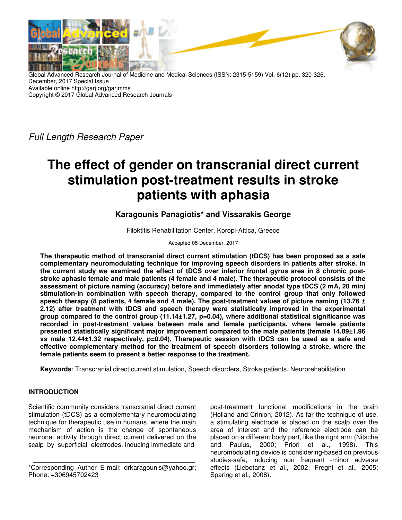

Global Advanced Research Journal of Medicine and Medical Sciences (ISSN: 2315-5159) Vol. 6(12) pp. 320-326, December, 2017 Special Issue Available online http://garj.org/garjmms Copyright © 2017 Global Advanced Research Journals

Full Length Research Paper

# **The effect of gender on transcranial direct current stimulation post-treatment results in stroke patients with aphasia**

**Karagounis Panagiotis\* and Vissarakis George** 

Filoktitis Rehabilitation Center, Koropi-Attica, Greece

Accepted 05 December, 2017

**The therapeutic method of transcranial direct current stimulation (tDCS) has been proposed as a safe complementary neuromodulating technique for improving speech disorders in patients after stroke. In the current study we examined the effect of tDCS over inferior frontal gyrus area in 8 chronic poststroke aphasic female and male patients (4 female and 4 male). The therapeutic protocol consists of the assessment of picture naming (accuracy) before and immediately after anodal type tDCS (2 mA, 20 min) stimulation-in combination with speech therapy, compared to the control group that only followed speech therapy (8 patients, 4 female and 4 male). The post-treatment values of picture naming (13.76 ± 2.12) after treatment with tDCS and speech therapy were statistically improved in the experimental group compared to the control group (11.14±1.27, p=0.04), where additional statistical significance was recorded in post-treatment values between male and female participants, where female patients presented statistically significant major improvement compared to the male patients (female 14.89±1.96 vs male 12.44±1.32 respectively, p=0.04). Therapeutic session with tDCS can be used as a safe and effective complementary method for the treatment of speech disorders following a stroke, where the female patients seem to present a better response to the treatment.** 

**Keywords**: Transcranial direct current stimulation, Speech disorders, Stroke patients, Neurorehabilitation

# **INTRODUCTION**

Scientific community considers transcranial direct current stimulation (tDCS) as a complementary neuromodulating technique for therapeutic use in humans, where the main mechanism of action is the change of spontaneous neuronal activity through direct current delivered on the scalp by superficial electrodes, inducing immediate and

post-treatment functional modifications in the brain (Holland and Crinion, 2012). As far the technique of use, a stimulating electrode is placed on the scalp over the area of interest and the reference electrode can be placed on a different body part, like the right arm (Nitsche and Paulus, 2000; Priori et al., 1998). This neuromodulating device is considering-based on previous studies-safe, inducing non frequent -minor adverse effects (Liebetanz et al., 2002; Fregni et al., 2005; Sparing et al., 2008).

<sup>\*</sup>Corresponding Author E-mail: drkaragounis@yahoo.gr; Phone: +306945702423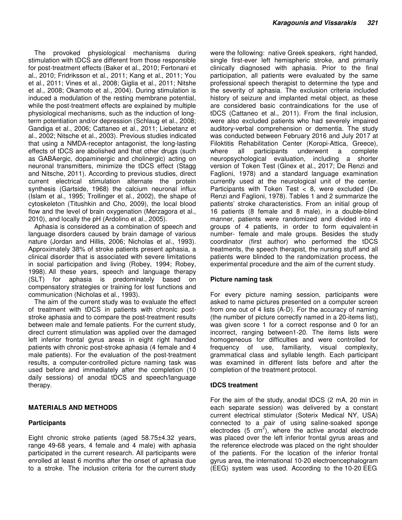The provoked physiological mechanisms during stimulation with tDCS are different from those responsible for post-treatment effects (Baker et al., 2010; Fertonani et al., 2010; Fridriksson et al., 2011; Kang et al., 2011; You et al., 2011; Vines et al., 2008; Giglia et al., 2011; Nitshe et al., 2008; Okamoto et al., 2004). During stimulation is induced a modulation of the resting membrane potential, while the post-treatment effects are explained by multiple physiological mechanisms, such as the induction of longterm potentiation and/or depression (Schlaug et al., 2008; Gandiga et al., 2006; Cattaneo et al., 2011; Liebetanz et al., 2002; Nitsche et al., 2003). Previous studies indicated that using a NMDA-receptor antagonist, the long-lasting effects of tDCS are abolished and that other drugs (such as GABAergic, dopaminergic and cholinergic) acting on neuronal transmitters, minimize the tDCS effect (Stagg and Nitsche, 2011). According to previous studies, direct current electrical stimulation alternate the protein synthesis (Gartside, 1968) the calcium neuronal influx (Islam et al., 1995; Trollinger et al., 2002), the shape of cytoskeleton (Titushkin and Cho, 2009), the local blood flow and the level of brain oxygenation (Merzagora et al., 2010), and locally the pH (Ardolino et al., 2005).

Aphasia is considered as a combination of speech and language disorders caused by brain damage of various nature (Jordan and Hillis, 2006; Nicholas et al., 1993). Approximately 38% of stroke patients present aphasia, a clinical disorder that is associated with severe limitations in social participation and living (Robey, 1994; Robey, 1998). All these years, speech and language therapy (SLT) for aphasia is predominately based on compensatory strategies or training for lost functions and communication (Nicholas et al., 1993).

The aim of the current study was to evaluate the effect of treatment with tDCS in patients with chronic poststroke aphasia and to compare the post-treatment results between male and female patients. For the current study, direct current stimulation was applied over the damaged left inferior frontal gyrus areas in eight right handed patients with chronic post-stroke aphasia (4 female and 4 male patients). For the evaluation of the post-treatment results, a computer-controlled picture naming task was used before and immediately after the completion (10 daily sessions) of anodal tDCS and speech/language therapy.

# **MATERIALS AND METHODS**

#### **Participants**

Eight chronic stroke patients (aged 58.75±4.32 years, range 49-68 years, 4 female and 4 male) with aphasia participated in the current research. All participants were enrolled at least 6 months after the onset of aphasia due to a stroke. The inclusion criteria for the current study were the following: native Greek speakers, right handed, single first-ever left hemispheric stroke, and primarily clinically diagnosed with aphasia. Prior to the final participation, all patients were evaluated by the same professional speech therapist to determine the type and the severity of aphasia. The exclusion criteria included history of seizure and implanted metal object, as these are considered basic contraindications for the use of tDCS (Cattaneo et al., 2011). From the final inclusion, were also excluded patients who had severely impaired auditory-verbal comprehension or dementia. The study was conducted between February 2016 and July 2017 at Filoktitis Rehabilitation Center (Koropi-Attica, Greece), where all participants underwent a complete neuropsychological evaluation, including a shorter version of Token Test (Ginex et al., 2017; De Renzi and Faglioni, 1978) and a standard language examination currently used at the neurological unit of the center. Participants with Token Test < 8, were excluded (De Renzi and Faglioni, 1978). Tables 1 and 2 summarize the patients' stroke characteristics. From an initial group of 16 patients (8 female and 8 male), in a double-blind manner, patients were randomized and divided into 4 groups of 4 patients, in order to form equivalent-in number- female and male groups. Besides the study coordinator (first author) who performed the tDCS treatments, the speech therapist, the nursing stuff and all patients were blinded to the randomization process, the experimental procedure and the aim of the current study.

# **Picture naming task**

For every picture naming session, participants were asked to name pictures presented on a computer screen from one out of 4 lists (A-D). For the accuracy of naming (the number of picture correctly named in a 20-items list), was given score 1 for a correct response and 0 for an incorrect, ranging between1-20. The items lists were homogeneous for difficulties and were controlled for frequency of use, familiarity, visual complexity, grammatical class and syllable length. Each participant was examined in different lists before and after the completion of the treatment protocol.

#### **tDCS treatment**

For the aim of the study, anodal tDCS (2 mA, 20 min in each separate session) was delivered by a constant current electrical stimulator (Soterix Medical NY, USA) connected to a pair of using saline-soaked sponge electrodes (5  $cm<sup>2</sup>$ ), where the active anodal electrode was placed over the left inferior frontal gyrus areas and the reference electrode was placed on the right shoulder of the patients. For the location of the inferior frontal gyrus area, the international 10-20 electroencephalogram (EEG) system was used. According to the 10-20 EEG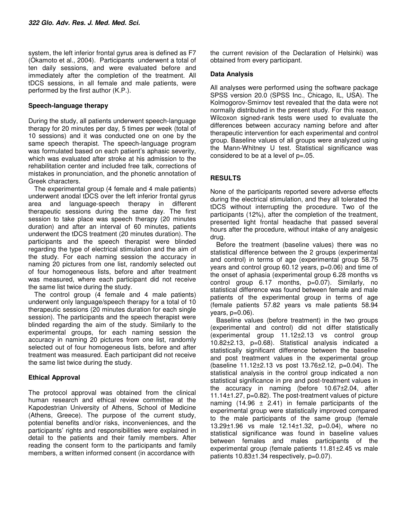system, the left inferior frontal gyrus area is defined as F7 (Okamoto et al., 2004). Participants underwent a total of ten daily sessions, and were evaluated before and immediately after the completion of the treatment. All tDCS sessions, in all female and male patients, were performed by the first author (K.P.).

#### **Speech-language therapy**

During the study, all patients underwent speech-language therapy for 20 minutes per day, 5 times per week (total of 10 sessions) and it was conducted one on one by the same speech therapist. The speech-language program was formulated based on each patient's aphasic severity, which was evaluated after stroke at his admission to the rehabilitation center and included free talk, corrections of mistakes in pronunciation, and the phonetic annotation of Greek characters.

The experimental group (4 female and 4 male patients) underwent anodal tDCS over the left inferior frontal gyrus area and language-speech therapy in different therapeutic sessions during the same day. The first session to take place was speech therapy (20 minutes duration) and after an interval of 60 minutes, patients underwent the tDCS treatment (20 minutes duration). The participants and the speech therapist were blinded regarding the type of electrical stimulation and the aim of the study. For each naming session the accuracy in naming 20 pictures from one list, randomly selected out of four homogeneous lists, before and after treatment was measured, where each participant did not receive the same list twice during the study.

The control group (4 female and 4 male patients) underwent only language/speech therapy for a total of 10 therapeutic sessions (20 minutes duration for each single session). The participants and the speech therapist were blinded regarding the aim of the study. Similarly to the experimental groups, for each naming session the accuracy in naming 20 pictures from one list, randomly selected out of four homogeneous lists, before and after treatment was measured. Each participant did not receive the same list twice during the study.

# **Ethical Approval**

The protocol approval was obtained from the clinical human research and ethical review committee at the Kapodestrian University of Athens, School of Medicine (Athens, Greece). The purpose of the current study, potential benefits and/or risks, inconveniences, and the participants' rights and responsibilities were explained in detail to the patients and their family members. After reading the consent form to the participants and family members, a written informed consent (in accordance with

the current revision of the Declaration of Helsinki) was obtained from every participant.

#### **Data Analysis**

All analyses were performed using the software package SPSS version 20.0 (SPSS Inc., Chicago, IL, USA). The Kolmogorov-Smirnov test revealed that the data were not normally distributed in the present study. For this reason, Wilcoxon signed-rank tests were used to evaluate the differences between accuracy naming before and after therapeutic intervention for each experimental and control group. Baseline values of all groups were analyzed using the Mann-Whitney U test. Statistical significance was considered to be at a level of  $p=.05$ .

# **RESULTS**

None of the participants reported severe adverse effects during the electrical stimulation, and they all tolerated the tDCS without interrupting the procedure. Two of the participants (12%), after the completion of the treatment, presented light frontal headache that passed several hours after the procedure, without intake of any analgesic drug.

Before the treatment (baseline values) there was no statistical difference between the 2 groups (experimental and control) in terms of age (experimental group 58.75 years and control group 60.12 years, p=0.06) and time of the onset of aphasia (experimental group 6.28 months vs control group 6.17 months, p=0.07). Similarly, no statistical difference was found between female and male patients of the experimental group in terms of age (female patients 57.82 years vs male patients 58.94 years, p=0.06).

Baseline values (before treatment) in the two groups (experimental and control) did not differ statistically (experimental group 11.12±2.13 vs control group 10.82±2.13, p=0.68). Statistical analysis indicated a statistically significant difference between the baseline and post treatment values in the experimental group (baseline 11.12±2.13 vs post 13.76±2.12, p=0.04). The statistical analysis in the control group indicated a non statistical significance in pre and post-treatment values in the accuracy in naming (before 10.67±2.04, after 11.14±1.27, p=0.82). The post-treatment values of picture naming  $(14.96 \pm 2.41)$  in female participants of the experimental group were statistically improved compared to the male participants of the same group (female 13.29±1.96 vs male 12.14±1.32, p=0.04), where no statistical significance was found in baseline values between females and males participants of the experimental group (female patients 11.81±2.45 vs male patients 10.83±1.34 respectively, p=0.07).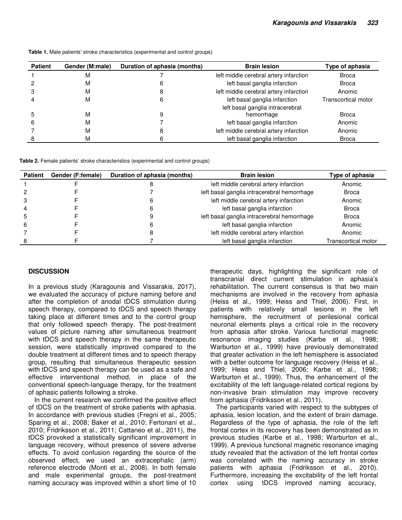| <b>Patient</b> | Gender (M:male) | Duration of aphasia (months) | <b>Brain lesion</b>                            | Type of aphasia     |
|----------------|-----------------|------------------------------|------------------------------------------------|---------------------|
|                | M               |                              | left middle cerebral artery infarction         | <b>Broca</b>        |
|                | M               |                              | left basal ganglia infarction                  | <b>Broca</b>        |
|                | M               |                              | left middle cerebral artery infarction         | Anomic              |
|                | M               | 6                            | left basal ganglia infarction                  | Transcortical motor |
|                | M               |                              | left basal ganglia intracerebral<br>hemorrhage | Broca               |
| h              | M               |                              | left basal ganglia infarction                  | Anomic              |
|                | M               |                              | left middle cerebral artery infarction         | Anomic              |
|                | M               |                              | left basal ganglia infarction                  | <b>Broca</b>        |

**Table 1.** Male patients' stroke characteristics (experimental and control groups)

**Table 2.** Female patients' stroke characteristics (experimental and control groups)

| <b>Patient</b> | Gender (F:female) | Duration of aphasia (months) | <b>Brain lesion</b>                         | Type of aphasia     |
|----------------|-------------------|------------------------------|---------------------------------------------|---------------------|
|                |                   |                              | left middle cerebral artery infarction      | Anomic              |
|                |                   |                              | left basal ganglia intracerebral hemorrhage | <b>Broca</b>        |
|                |                   |                              | left middle cerebral artery infarction      | Anomic              |
|                |                   |                              | left basal ganglia infarction               | <b>Broca</b>        |
|                |                   |                              | left basal ganglia intracerebral hemorrhage | <b>Broca</b>        |
|                |                   |                              | left basal ganglia infarction               | Anomic              |
|                |                   |                              | left middle cerebral artery infarction      | Anomic              |
|                |                   |                              | left basal ganglia infarction               | Transcortical motor |

# **DISCUSSION**

In a previous study (Karagounis and Vissarakis, 2017), we evaluated the accuracy of picture naming before and after the completion of anodal tDCS stimulation during speech therapy, compared to tDCS and speech therapy taking place at different times and to the control group that only followed speech therapy. The post-treatment values of picture naming after simultaneous treatment with tDCS and speech therapy in the same therapeutic session, were statistically improved compared to the double treatment at different times and to speech therapy group, resulting that simultaneous therapeutic session with tDCS and speech therapy can be used as a safe and effective interventional method, in place of the conventional speech-language therapy, for the treatment of aphasic patients following a stroke.

In the current research we confirmed the positive effect of tDCS on the treatment of stroke patients with aphasia. In accordance with previous studies (Fregni et al., 2005; Sparing et al., 2008; Baker et al., 2010; Fertonani et al., 2010; Fridriksson et al., 2011; Cattaneo et al., 2011), the tDCS provoked a statistically significant improvement in language recovery, without presence of severe adverse effects. To avoid confusion regarding the source of the observed effect, we used an extracephalic (arm) reference electrode (Monti et al., 2008). In both female and male experimental groups, the post-treatment naming accuracy was improved within a short time of 10 therapeutic days, highlighting the significant role of transcranial direct current stimulation in aphasia's rehabilitation. The current consensus is that two main mechanisms are involved in the recovery from aphasia (Heiss et al., 1999; Heiss and Thiel, 2006). First, in patients with relatively small lesions in the left hemisphere, the recruitment of perilesional cortical neuronal elements plays a critical role in the recovery from aphasia after stroke. Various functional magnetic resonance imaging studies (Karbe et al., 1998; Warburton et al., 1999) have previously demonstrated that greater activation in the left hemisphere is associated with a better outcome for language recovery (Heiss et al., 1999; Heiss and Thiel, 2006; Karbe et al., 1998; Warburton et al., 1999). Thus, the enhancement of the excitability of the left language-related cortical regions by non-invasive brain stimulation may improve recovery from aphasia (Fridriksson et al., 2011).

The participants varied with respect to the subtypes of aphasia, lesion location, and the extent of brain damage. Regardless of the type of aphasia, the role of the left frontal cortex in its recovery has been demonstrated as in previous studies (Karbe et al., 1998; Warburton et al., 1999). A previous functional magnetic resonance imaging study revealed that the activation of the left frontal cortex was correlated with the naming accuracy in stroke patients with aphasia (Fridriksson et al., 2010). Furthermore, increasing the excitability of the left frontal cortex using tDCS improved naming accuracy,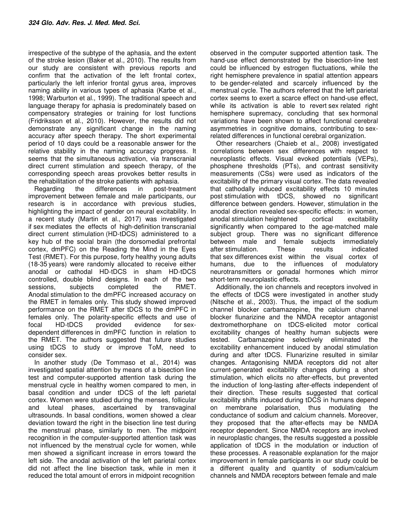irrespective of the subtype of the aphasia, and the extent of the stroke lesion (Baker et al., 2010). The results from our study are consistent with previous reports and confirm that the activation of the left frontal cortex, particularly the left inferior frontal gyrus area, improves naming ability in various types of aphasia (Karbe et al., 1998; Warburton et al., 1999). The traditional speech and language therapy for aphasia is predominately based on compensatory strategies or training for lost functions (Fridriksson et al., 2010). However, the results did not demonstrate any significant change in the naming accuracy after speech therapy. The short experimental period of 10 days could be a reasonable answer for the relative stability in the naming accuracy progress. It seems that the simultaneous activation, via transcranial direct current stimulation and speech therapy, of the corresponding speech areas provokes better results in the rehabilitation of the stroke patients with aphasia.

Regarding the differences in post-treatment improvement between female and male participants, our research is in accordance with previous studies, highlighting the impact of gender on neural excitability. In a recent study (Martin et al., 2017) was investigated if sex mediates the effects of high-definition transcranial direct current stimulation (HD-tDCS) administered to a key hub of the social brain (the dorsomedial prefrontal cortex, dmPFC) on the Reading the Mind in the Eyes Test (RMET). For this purpose, forty healthy young adults (18-35 years) were randomly allocated to receive either anodal or cathodal HD-tDCS in sham HD-tDCS controlled, double blind designs. In each of the two sessions, subjects completed the RMET. Anodal stimulation to the dmPFC increased accuracy on the RMET in females only. This study showed improved performance on the RMET after tDCS to the dmPFC in females only. The polarity-specific effects and use of focal HD-tDCS provided evidence for sexdependent differences in dmPFC function in relation to the RMET. The authors suggested that future studies using tDCS to study or improve ToM, need to consider sex.

In another study (De Tommaso et al., 2014) was investigated spatial attention by means of a bisection line test and computer-supported attention task during the menstrual cycle in healthy women compared to men, in basal condition and under tDCS of the left parietal cortex. Women were studied during the menses, follicular and luteal phases, ascertained by transvaginal ultrasounds. In basal conditions, women showed a clear deviation toward the right in the bisection line test during the menstrual phase, similarly to men. The midpoint recognition in the computer-supported attention task was not influenced by the menstrual cycle for women, while men showed a significant increase in errors toward the left side. The anodal activation of the left parietal cortex did not affect the line bisection task, while in men it reduced the total amount of errors in midpoint recognition

observed in the computer supported attention task. The hand-use effect demonstrated by the bisection-line test could be influenced by estrogen fluctuations, while the right hemisphere prevalence in spatial attention appears to be gender-related and scarcely influenced by the menstrual cycle. The authors referred that the left parietal cortex seems to exert a scarce effect on hand-use effect, while its activation is able to revert sex related right hemisphere supremacy, concluding that sex hormonal variations have been shown to affect functional cerebral asymmetries in cognitive domains, contributing to sexrelated differences in functional cerebral organization.

Other researchers (Chaieb et al., 2008) investigated correlations between sex differences with respect to neuroplastic effects. Visual evoked potentials (VEPs), phosphene thresholds (PTs), and contrast sensitivity measurements (CSs) were used as indicators of the excitability of the primary visual cortex. The data revealed that cathodally induced excitability effects 10 minutes post stimulation with tDCS, showed no significant difference between genders. However, stimulation in the anodal direction revealed sex-specific effects: in women, anodal stimulation heightened cortical excitability significantly when compared to the age-matched male subject group. There was no significant difference between male and female subjects immediately after stimulation. These results indicated that sex differences exist within the visual cortex of humans, due to the influences of modulatory neurotransmitters or gonadal hormones which mirror short-term neuroplastic effects.

Additionally, the ion channels and receptors involved in the effects of tDCS were investigated in another study (Nitsche et al., 2003). Thus, the impact of the sodium channel blocker carbamazepine, the calcium channel blocker flunarizine and the NMDA receptor antagonist dextromethorphane on tDCS-elicited motor cortical excitability changes of healthy human subjects were tested. Carbamazepine selectively eliminated the excitability enhancement induced by anodal stimulation during and after tDCS. Flunarizine resulted in similar changes. Antagonising NMDA receptors did not alter current-generated excitability changes during a short stimulation, which elicits no after-effects, but prevented the induction of long-lasting after-effects independent of their direction. These results suggested that cortical excitability shifts induced during tDCS in humans depend on membrane polarisation, thus modulating the conductance of sodium and calcium channels. Moreover, they proposed that the after-effects may be NMDA receptor dependent. Since NMDA receptors are involved in neuroplastic changes, the results suggested a possible application of tDCS in the modulation or induction of these processes. A reasonable explanation for the major improvement in female participants in our study could be a different quality and quantity of sodium/calcium channels and NMDA receptors between female and male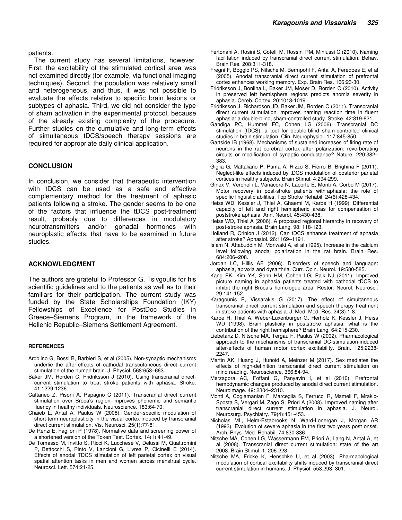patients.

The current study has several limitations, however. First, the excitability of the stimulated cortical area was not examined directly (for example, via functional imaging techniques). Second, the population was relatively small and heterogeneous, and thus, it was not possible to evaluate the effects relative to specific brain lesions or subtypes of aphasia. Third, we did not consider the type of sham activation in the experimental protocol, because of the already existing complexity of the procedure. Further studies on the cumulative and long-term effects of simultaneous tDCS/speech therapy sessions are required for appropriate daily clinical application.

#### **CONCLUSION**

In conclusion, we consider that therapeutic intervention with tDCS can be used as a safe and effective complementary method for the treatment of aphasic patients following a stroke. The gender seems to be one of the factors that influence the tDCS post-treatment result, probably due to differences in modulatory neurotransmitters and/or gonadal hormones with neuroplastic effects, that have to be examined in future studies.

#### **ACKNOWLEDGMENT**

The authors are grateful to Professor G. Tsivgoulis for his scientific guidelines and to the patients as well as to their familiars for their participation. The current study was funded by the State Scholarships Foundation (IKY) Fellowships of Excellence for PostDoc Studies in Greece–Siemens Program, in the framework of the Hellenic Republic–Siemens Settlement Agreement.

#### **REFERENCES**

- Ardolino G, Bossi B, Barbieri S, et al (2005). Non-synaptic mechanisms underlie the after-effects of cathodal transcutaneous direct current stimulation of the human brain. J. Physiol. 568:653–663.
- Baker JM, Rorden C, Fridriksson J (2010). Using transcranial directcurrent stimulation to treat stroke patients with aphasia. Stroke. 41:1229-1236.
- Cattaneo Z, Pisoni A, Papagno C (2011). Transcranial direct current stimulation over Broca's region improves phonemic and semantic fluency in healthy individuals. Neuroscience. 183:64-70.
- Chaieb L, Antal A, Paulus W (2008). Gender-specific modulation of short-term neuroplasticity in the visual cortex induced by transcranial direct current stimulation. Vis. Neurosci. 25(1):77-81.
- De Renzi E, Faglioni P (1978). Normative data and screening power of a shortened version of the Token Test. Cortex. 14(1):41-49.
- De Tomasso M, Invitto S, Ricci K, Lucchese V, Delussi M, Quattromini P, Bettocchi S, Pinto V, Lancioni G, Livrea P, Cicinelli E (2014). Effects of anodal TDCS stimulation of left parietal cortex on visual spatial attention tasks in men and women across menstrual cycle. Neurosci. Lett. 574:21-25.
- Fertonani A, Rosini S, Cotelli M, Rossini PM, Miniussi C (2010). Naming facilitation induced by transcranial direct current stimulation. Behav. Brain Res. 208:311-318.
- Fregni F, Boggio PS, Nitsche M, Bermpohl F, Antal A, Feredoes E, et al (2005). Anodal transcranial direct current stimulation of prefrontal cortex enhances working memory. Exp. Brain Res. 166:23-30.
- Fridriksson J, Bonilha L, Baker JM, Moser D, Rorden C (2010). Activity in preserved left hemisphere regions predicts anomia severity in aphasia. Cereb. Cortex. 20:1013-1019.
- Fridriksson J, Richardson JD, Baker JM, Rorden C (2011). Transcranial direct current stimulation improves naming reaction time in fluent aphasia: a double-blind, sham-controlled study. Stroke. 42:819-821.
- Gandiga PC, Hummel FC, Cohen LG (2006). Transcranial DC stimulation (tDCS): a tool for double-blind sham-controlled clinical studies in brain stimulation. Clin. Neurophysiol. 117:845-850.
- Gartside IB (1968). Mechanisms of sustained increases of firing rate of neurons in the rat cerebral cortex after polarization: reverberating circuits or modification of synaptic conductance? Nature. 220:382– 383.
- Giglia G, Mattaliano P, Puma A, Rizzo S, Fierro B, Brighina F (2011). Neglect-like effects induced by tDCS modulation of posterior parietal cortices in healthy subjects. Brain Stimul. 4:294-299.
- Ginex V, Veronelli L, Vanacore N, Lacorte E, Monti A, Corbo M (2017). Motor recovery in post-stroke patients with aphasia: the role of specific linguistic abilities. Top Stroke Rehabil. 24(6):428-434.
- Heiss WD, Kessler J, Thiel A, Ghaemi M, Karbe H (1999). Differential capacity of left and right hemispheric areas for compensation of poststroke aphasia. Ann. Neurol. 45:430-438.
- Heiss WD, Thiel A (2006). A proposed regional hierarchy in recovery of post-stroke aphasia. Brain Lang. 98: 118-123.
- Holland R, Crinion J (2012). Can tDCS enhance treatment of aphasia after stroke? Aphasiol. 26:1169–1191.
- Islam N, Aftabuddin M, Moriwaki A, et al (1995). Increase in the calcium level following anodal polarization in the rat brain. Brain Res. 684:206–208.
- Jordan LC, Hillis AE (2006). Disorders of speech and language: aphasia, apraxia and dysarthria. Curr. Opin. Neurol. 19:580-585.
- Kang EK, Kim YK, Sohn HM, Cohen LG, Paik NJ (2011). Improved picture naming in aphasia patients treated with cathodal tDCS to inhibit the right Broca's homologue area. Restor. Neurol. Neurosci. 29:141-152.
- Karagounis P, Vissarakis G (2017). The effect of simultaneous transcranial direct current stimulation and speech therapy treatment in stroke patients with aphasia. J. Med. Med. Res. 24(3):1-8.
- Karbe H, Thiel A, Weber-Luxenburger G, Herholz K, Kessler J, Heiss WD (1998). Brain plasticity in poststroke aphasia: what is the contribution of the right hemisphere? Brain Lang. 64:215-230.
- Liebetanz D, Nitsche MA, Tergau F, Paulus W (2002). Pharmacological approach to the mechanisms of transcranial DC-stimulation-induced after-effects of human motor cortex excitability. Brain. 125:2238- 2247.
- Martin AK, Huang J, Hunoid A, Meinzer M (2017). Sex mediates the effects of high-definition transcranial direct current stimulation on mind reading. Neuroscience. 366:84-94.
- Merzagora AC, Foffani G, Panyavin I, et al (2010). Prefrontal hemodynamic changes produced by anodal direct current stimulation. Neuroimage. 49: 2304–2310.
- Monti A, Cogiamanian F, Marceglia S, Ferrucci R, Mameli F, Mrakic-Sposta S, Vergari M, Zago S, Priori A (2008). Improved naming after transcranial direct current stimulation in aphasia. J. Neurol. Neurosurg. Psychiatry. 79(4):451-453.
- Nicholas ML, Helm-Estabrooks N, Ward-Lonergan J, Morgan AR (1993). Evolution of severe aphasia in the first two years post onset. Arch. Phys. Med. Rehabil. 74:830-836.
- Nitsche MA, Cohen LG, Wassermann EM, Priori A, Lang N, Antal A, et al (2008). Transcranial direct current stimulation: state of the art 2008. Brain Stimul. 1: 206-223.
- Nitsche MA, Fricke K, Henschke U, et al (2003). Pharmacological modulation of cortical excitability shifts induced by transcranial direct current stimulation in humans. J. Physiol. 553:293–301.